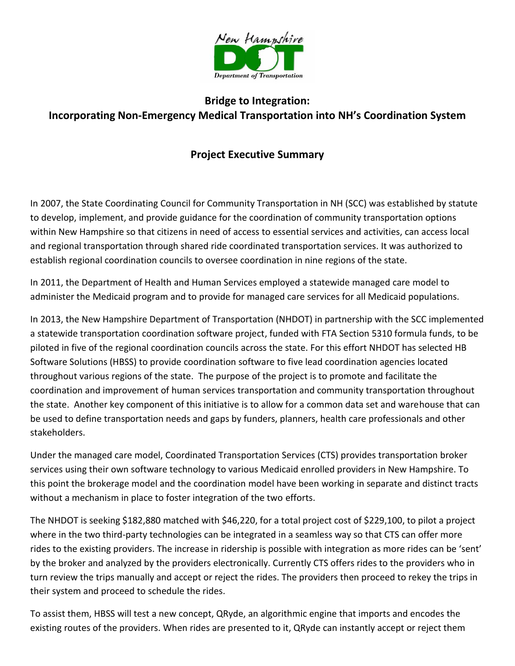

## **Bridge to Integration: Incorporating Non-Emergency Medical Transportation into NH's Coordination System**

## **Project Executive Summary**

In 2007, the State Coordinating Council for Community Transportation in NH (SCC) was established by statute to develop, implement, and provide guidance for the coordination of community transportation options within New Hampshire so that citizens in need of access to essential services and activities, can access local and regional transportation through shared ride coordinated transportation services. It was authorized to establish regional coordination councils to oversee coordination in nine regions of the state.

In 2011, the Department of Health and Human Services employed a statewide managed care model to administer the Medicaid program and to provide for managed care services for all Medicaid populations.

In 2013, the New Hampshire Department of Transportation (NHDOT) in partnership with the SCC implemented a statewide transportation coordination software project, funded with FTA Section 5310 formula funds, to be piloted in five of the regional coordination councils across the state. For this effort NHDOT has selected HB Software Solutions (HBSS) to provide coordination software to five lead coordination agencies located throughout various regions of the state. The purpose of the project is to promote and facilitate the coordination and improvement of human services transportation and community transportation throughout the state. Another key component of this initiative is to allow for a common data set and warehouse that can be used to define transportation needs and gaps by funders, planners, health care professionals and other stakeholders.

Under the managed care model, Coordinated Transportation Services (CTS) provides transportation broker services using their own software technology to various Medicaid enrolled providers in New Hampshire. To this point the brokerage model and the coordination model have been working in separate and distinct tracts without a mechanism in place to foster integration of the two efforts.

The NHDOT is seeking \$182,880 matched with \$46,220, for a total project cost of \$229,100, to pilot a project where in the two third-party technologies can be integrated in a seamless way so that CTS can offer more rides to the existing providers. The increase in ridership is possible with integration as more rides can be 'sent' by the broker and analyzed by the providers electronically. Currently CTS offers rides to the providers who in turn review the trips manually and accept or reject the rides. The providers then proceed to rekey the trips in their system and proceed to schedule the rides.

To assist them, HBSS will test a new concept, QRyde, an algorithmic engine that imports and encodes the existing routes of the providers. When rides are presented to it, QRyde can instantly accept or reject them